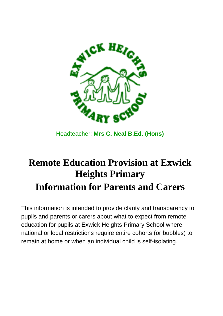

Headteacher: **Mrs C. Neal B.Ed. (Hons)**

# **Remote Education Provision at Exwick Heights Primary Information for Parents and Carers**

This information is intended to provide clarity and transparency to pupils and parents or carers about what to expect from remote education for pupils at Exwick Heights Primary School where national or local restrictions require entire cohorts (or bubbles) to remain at home or when an individual child is self-isolating.

.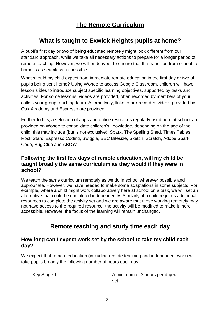# **The Remote Curriculum**

# **What is taught to Exwick Heights pupils at home?**

A pupil's first day or two of being educated remotely might look different from our standard approach, while we take all necessary actions to prepare for a longer period of remote teaching. However, we will endeavour to ensure that the transition from school to home is as seamless as possible.

What should my child expect from immediate remote education in the first day or two of pupils being sent home? Using Wonde to access Google Classroom, children will have lesson slides to introduce subject specific learning objectives, supported by tasks and activities. For some lessons, videos are provided, often recorded by members of your child's year group teaching team. Alternatively, links to pre-recorded videos provided by Oak Academy and Espresso are provided.

Further to this, a selection of apps and online resources regularly used here at school are provided on Wonde to consolidate children's knowledge, depending on the age of the child, this may include (but is not exclusive): Sparx, The Spelling Shed, Times Tables Rock Stars, Espresso Coding, Swiggle, BBC Bitesize, Sketch, Scratch, Adobe Spark, Code, Bug Club and ABCYa.

## **Following the first few days of remote education, will my child be taught broadly the same curriculum as they would if they were in school?**

We teach the same curriculum remotely as we do in school wherever possible and appropriate. However, we have needed to make some adaptations in some subjects. For example, where a child might work collaboratively here at school on a task, we will set an alternative that could be completed independently. Similarly, if a child requires additional resources to complete the activity set and we are aware that those working remotely may not have access to the required resource, the activity will be modified to make it more accessible. However, the focus of the learning will remain unchanged.

# **Remote teaching and study time each day**

## **How long can I expect work set by the school to take my child each day?**

We expect that remote education (including remote teaching and independent work) will take pupils broadly the following number of hours each day:

| Key Stage 1 | A minimum of 3 hours per day will |
|-------------|-----------------------------------|
|             | set.                              |
|             |                                   |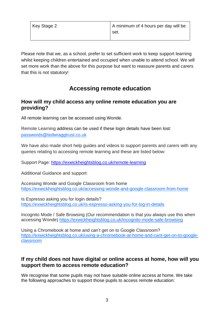| Key Stage 2 | A minimum of 4 hours per day will be |
|-------------|--------------------------------------|
|             | set.                                 |

Please note that we, as a school, prefer to set sufficient work to keep support learning whilst keeping children entertained and occupied when unable to attend school. We will set more work than the above for this purpose but want to reassure parents and carers that this is not statutory!

# **Accessing remote education**

# **How will my child access any online remote education you are providing?**

All remote learning can be accessed using Wonde.

Remote Learning address can be used if these login details have been lost: [passwords@tedwraggtrust.co.uk](mailto:passwords@tedwraggtrust.co.uk)

We have also made short help guides and videos to support parents and carers with any queries relating to accessing remote learning and these are listed below:

Support Page: <https://exwickheightsblog.co.uk/remote-learning>

Additional Guidance and support:

Accessing Wonde and Google Classroom from home <https://exwickheightsblog.co.uk/accessing-wonde-and-google-classroom-from-home>

Is Espresso asking you for login details? <https://exwickheightsblog.co.uk/is-espresso-asking-you-for-log-in-details>

Incognito Mode / Safe Browsing (Our recommendation is that you always use this when accessing Wonde) <https://exwickheightsblog.co.uk/incognito-mode-safe-browsing>

Using a Chromebook at home and can't get on to Google Classroom? [https://exwickheightsblog.co.uk/using-a-chromebook-at-home-and-cant-get-on-to-google](https://exwickheightsblog.co.uk/using-a-chromebook-at-home-and-cant-get-on-to-google-classroom)[classroom](https://exwickheightsblog.co.uk/using-a-chromebook-at-home-and-cant-get-on-to-google-classroom)

## **If my child does not have digital or online access at home, how will you support them to access remote education?**

We recognise that some pupils may not have suitable online access at home. We take the following approaches to support those pupils to access remote education: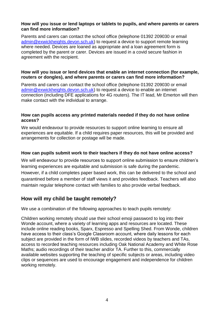#### **How will you issue or lend laptops or tablets to pupils, and where parents or carers can find more information?**

Parents and carers can contact the school office (telephone 01392 209030 or email [admin@exwickheights.devon.sch.uk\)](mailto:admin@exwickheights.devon.sch.uk) to request a device to support remote learning where needed. Devices are loaned as appropriate and a loan agreement form is completed by the parent or carer. Devices are issued in a covid secure fashion in agreement with the recipient.

#### **How will you issue or lend devices that enable an internet connection (for example, routers or dongles), and where parents or carers can find more information?**

Parents and carers can contact the school office (telephone 01392 209030 or email [admin@exwickheights.devon.sch.uk\)](mailto:admin@exwickheights.devon.sch.uk) to request a device to enable an internet connection (including DFE applications for 4G routers). The IT lead, Mr Emerton will then make contact with the individual to arrange.

#### **How can pupils access any printed materials needed if they do not have online access?**

We would endeavour to provide resources to support online learning to ensure all experiences are equitable. If a child requires paper resources, this will be provided and arrangements for collection or postage will be made.

#### **How can pupils submit work to their teachers if they do not have online access?**

We will endeavour to provide resources to support online submission to ensure children's learning experiences are equitable and submission is safe during the pandemic. However, if a child completes paper based work, this can be delivered to the school and quarantined before a member of staff views it and provides feedback. Teachers will also maintain regular telephone contact with families to also provide verbal feedback.

## **How will my child be taught remotely?**

We use a combination of the following approaches to teach pupils remotely:

Children working remotely should use their school emoji password to log into their Wonde account, where a variety of learning apps and resources are located. These include online reading books, Sparx, Espresso and Spelling Shed. From Wonde, children have access to their class's Google Classroom account, where daily lessons for each subject are provided in the form of IWB slides, recorded videos by teachers and TAs, access to recorded teaching resources including Oak National Academy and White Rose Maths; audio recordings of their teacher and/or TA. Further to this, commercially available websites supporting the teaching of specific subjects or areas, including video clips or sequences are used to encourage engagement and independence for children working remotely.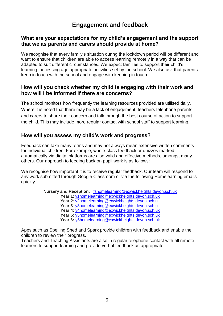# **Engagement and feedback**

## **What are your expectations for my child's engagement and the support that we as parents and carers should provide at home?**

We recognise that every family's situation during the lockdown period will be different and want to ensure that children are able to access learning remotely in a way that can be adapted to suit different circumstances. We expect families to support their child's learning, accessing age appropriate activities set by the school. We also ask that parents keep in touch with the school and engage with keeping in touch.

## **How will you check whether my child is engaging with their work and how will I be informed if there are concerns?**

The school monitors how frequently the learning resources provided are utilised daily. Where it is noted that there may be a lack of engagement, teachers telephone parents and carers to share their concern and talk through the best course of action to support the child. This may include more regular contact with school staff to support learning.

## **How will you assess my child's work and progress?**

Feedback can take many forms and may not always mean extensive written comments for individual children. For example, whole-class feedback or quizzes marked automatically via digital platforms are also valid and effective methods, amongst many others. Our approach to feeding back on pupil work is as follows:

We recognise how important it is to receive regular feedback. Our team will respond to any work submitted through Google Classroom or via the following Homelearning emails quickly:

**Nursery and Reception:** [fshomelearning@exwickheights.devon.sch.uk](mailto:fshomelearning@exwickheights.devon.sch.uk)

- **Year 1**: [y1homelearning@exwickheights.devon.sch.uk](mailto:y1homelearning@exwickheights.devon.sch.uk)
- **Year 2**: [y2homelearning@exwickheights.devon.sch.uk](mailto:y2homelearning@exwickheights.devon.sch.uk)
- **Year 3**: [y3homelearning@exwickheights.devon.sch.uk](mailto:y3homelearning@exwickheights.devon.sch.uk)
- **Year 4**: [y4homelearning@exwickheights.devon.sch.uk](mailto:y4homelearning@exwickheights.devon.sch.uk)
- **Year 5**: [y5homelearning@exwickheights.devon.sch.uk](mailto:y5homelearning@exwickheights.devon.sch.uk)
- **Year 6:** [y6homelearning@exwickheights.devon.sch.uk](mailto:y6homelearning@exwickheights.devon.sch.uk)

Apps such as Spelling Shed and Sparx provide children with feedback and enable the children to review their progress.

Teachers and Teaching Assistants are also in regular telephone contact with all remote learners to support learning and provide verbal feedback as appropriate.